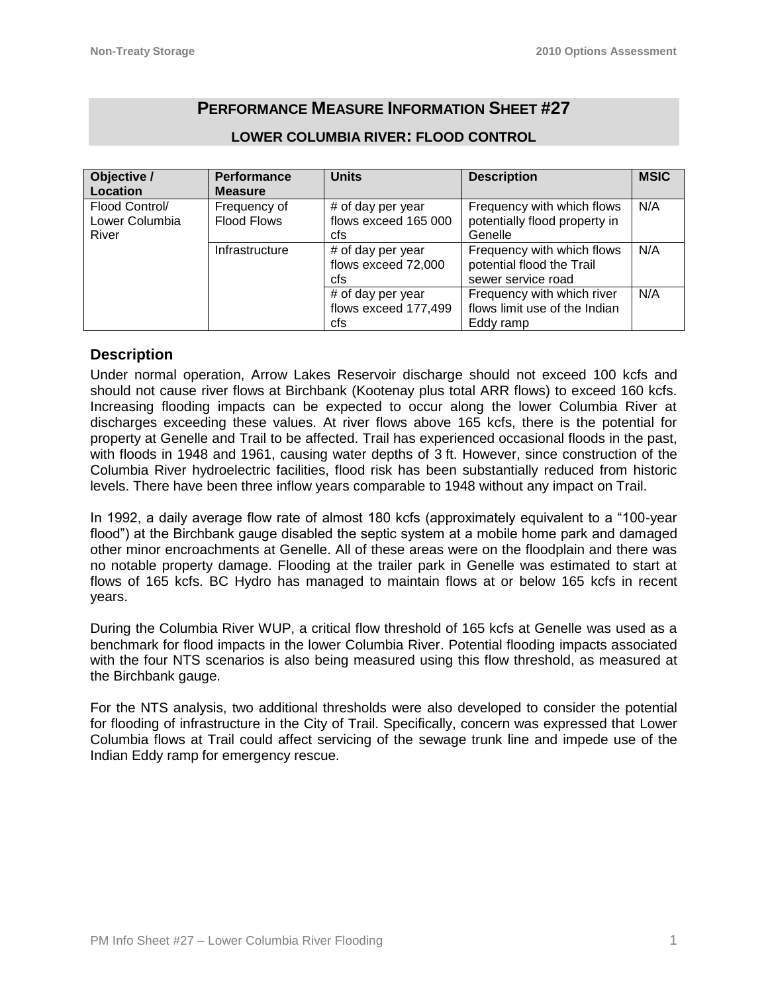# **PERFORMANCE MEASURE INFORMATION SHEET #27**

| Objective /    | <b>Performance</b> | <b>Units</b>         | <b>Description</b>            | <b>MSIC</b> |
|----------------|--------------------|----------------------|-------------------------------|-------------|
| Location       | <b>Measure</b>     |                      |                               |             |
| Flood Control/ | Frequency of       | # of day per year    | Frequency with which flows    | N/A         |
| Lower Columbia | <b>Flood Flows</b> | flows exceed 165 000 | potentially flood property in |             |
| River          |                    | cfs                  | Genelle                       |             |
|                | Infrastructure     | # of day per year    | Frequency with which flows    | N/A         |
|                |                    | flows exceed 72,000  | potential flood the Trail     |             |
|                |                    | cfs                  | sewer service road            |             |
|                |                    | # of day per year    | Frequency with which river    | N/A         |
|                |                    | flows exceed 177,499 | flows limit use of the Indian |             |
|                |                    | cfs                  | Eddy ramp                     |             |

### **LOWER COLUMBIA RIVER: FLOOD CONTROL**

# **Description**

Under normal operation, Arrow Lakes Reservoir discharge should not exceed 100 kcfs and should not cause river flows at Birchbank (Kootenay plus total ARR flows) to exceed 160 kcfs. Increasing flooding impacts can be expected to occur along the lower Columbia River at discharges exceeding these values. At river flows above 165 kcfs, there is the potential for property at Genelle and Trail to be affected. Trail has experienced occasional floods in the past, with floods in 1948 and 1961, causing water depths of 3 ft. However, since construction of the Columbia River hydroelectric facilities, flood risk has been substantially reduced from historic levels. There have been three inflow years comparable to 1948 without any impact on Trail.

In 1992, a daily average flow rate of almost 180 kcfs (approximately equivalent to a "100-year flood") at the Birchbank gauge disabled the septic system at a mobile home park and damaged other minor encroachments at Genelle. All of these areas were on the floodplain and there was no notable property damage. Flooding at the trailer park in Genelle was estimated to start at flows of 165 kcfs. BC Hydro has managed to maintain flows at or below 165 kcfs in recent years.

During the Columbia River WUP, a critical flow threshold of 165 kcfs at Genelle was used as a benchmark for flood impacts in the lower Columbia River. Potential flooding impacts associated with the four NTS scenarios is also being measured using this flow threshold, as measured at the Birchbank gauge.

For the NTS analysis, two additional thresholds were also developed to consider the potential for flooding of infrastructure in the City of Trail. Specifically, concern was expressed that Lower Columbia flows at Trail could affect servicing of the sewage trunk line and impede use of the Indian Eddy ramp for emergency rescue.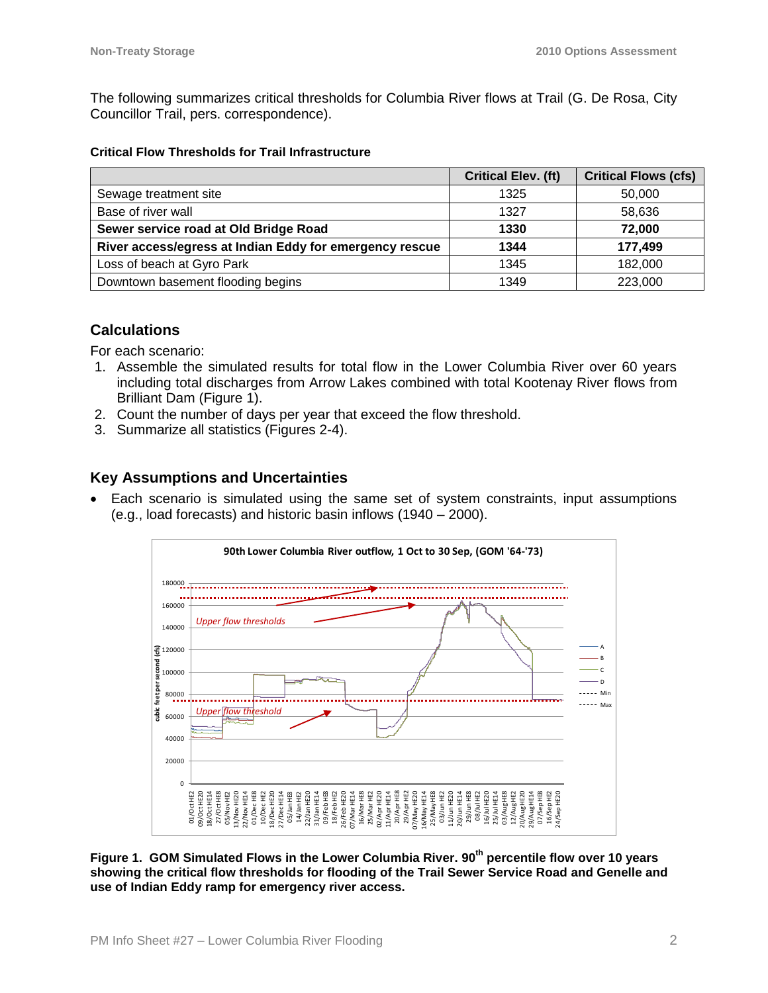The following summarizes critical thresholds for Columbia River flows at Trail (G. De Rosa, City Councillor Trail, pers. correspondence).

#### **Critical Flow Thresholds for Trail Infrastructure**

|                                                         | <b>Critical Elev. (ft)</b> | <b>Critical Flows (cfs)</b> |
|---------------------------------------------------------|----------------------------|-----------------------------|
| Sewage treatment site                                   | 1325                       | 50,000                      |
| Base of river wall                                      | 1327                       | 58,636                      |
| Sewer service road at Old Bridge Road                   | 1330                       | 72,000                      |
| River access/egress at Indian Eddy for emergency rescue | 1344                       | 177,499                     |
| Loss of beach at Gyro Park                              | 1345                       | 182,000                     |
| Downtown basement flooding begins                       | 1349                       | 223,000                     |

### **Calculations**

For each scenario:

- 1. Assemble the simulated results for total flow in the Lower Columbia River over 60 years including total discharges from Arrow Lakes combined with total Kootenay River flows from Brilliant Dam (Figure 1).
- 2. Count the number of days per year that exceed the flow threshold.
- 3. Summarize all statistics (Figures 2-4).

### **Key Assumptions and Uncertainties**

 Each scenario is simulated using the same set of system constraints, input assumptions (e.g., load forecasts) and historic basin inflows (1940 – 2000).



**Figure 1. GOM Simulated Flows in the Lower Columbia River. 90th percentile flow over 10 years showing the critical flow thresholds for flooding of the Trail Sewer Service Road and Genelle and use of Indian Eddy ramp for emergency river access.**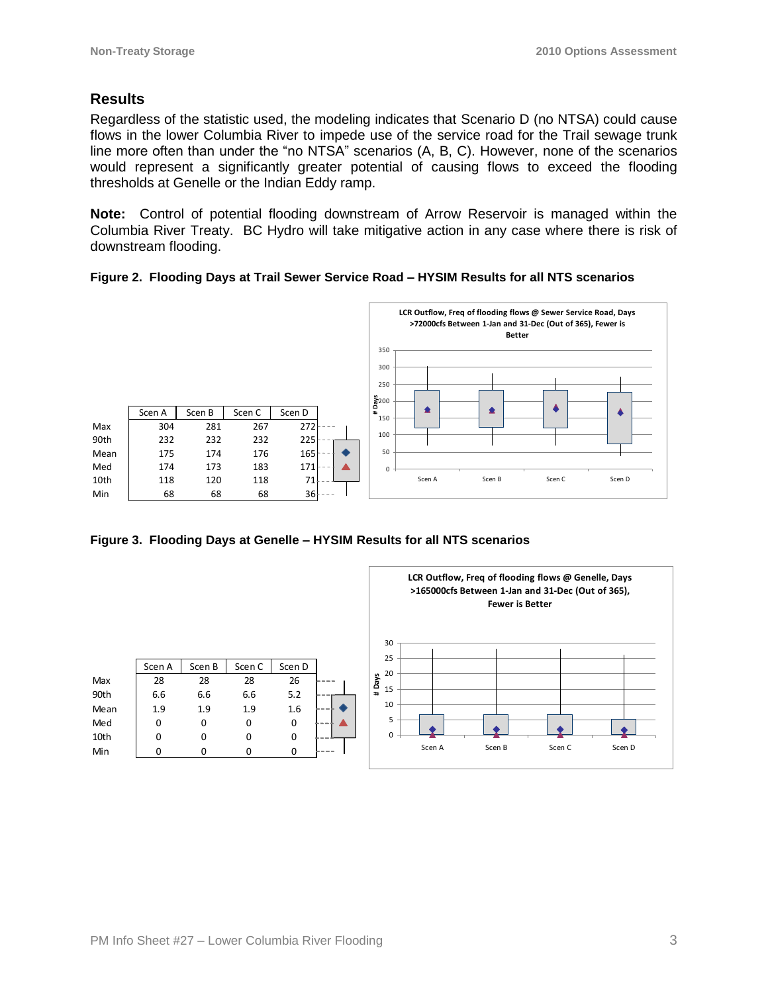# **Results**

Regardless of the statistic used, the modeling indicates that Scenario D (no NTSA) could cause flows in the lower Columbia River to impede use of the service road for the Trail sewage trunk line more often than under the "no NTSA" scenarios (A, B, C). However, none of the scenarios would represent a significantly greater potential of causing flows to exceed the flooding thresholds at Genelle or the Indian Eddy ramp.

**Note:** Control of potential flooding downstream of Arrow Reservoir is managed within the Columbia River Treaty. BC Hydro will take mitigative action in any case where there is risk of downstream flooding.

#### **Figure 2. Flooding Days at Trail Sewer Service Road – HYSIM Results for all NTS scenarios**



**Figure 3. Flooding Days at Genelle – HYSIM Results for all NTS scenarios**

|      | Scen A | Scen B | Scen C | Scen D |    |
|------|--------|--------|--------|--------|----|
| Max  | 28     | 28     | 28     | 26     |    |
| 90th | 6.6    | 6.6    | 6.6    | 5.2    |    |
| Mean | 1.9    | 1.9    | 1.9    | 1.6    | -- |
| Med  | 0      | 0      | O      | 0      |    |
| 10th | O      | 0      |        | 0      |    |
| Min  |        |        |        | O      |    |